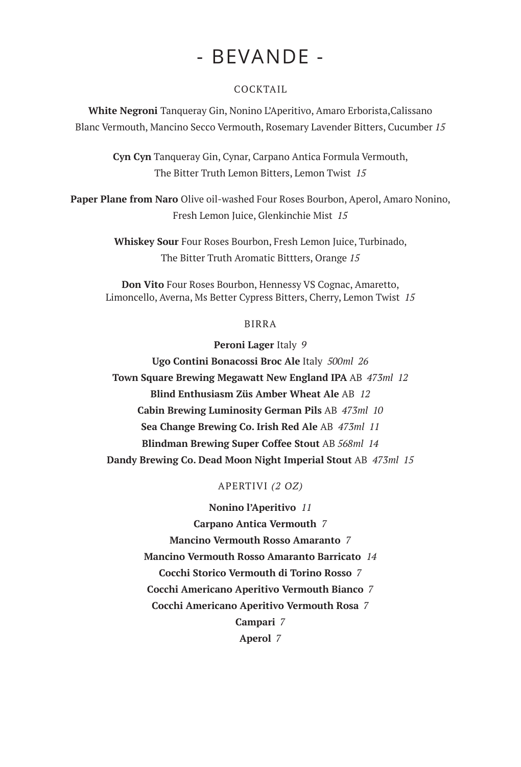# - BEVANDE -

# COCKTAIL

**White Negroni** Tanqueray Gin, Nonino L'Aperitivo, Amaro Erborista,Calissano Blanc Vermouth, Mancino Secco Vermouth, Rosemary Lavender Bitters, Cucumber *15*

> **Cyn Cyn** Tanqueray Gin, Cynar, Carpano Antica Formula Vermouth, The Bitter Truth Lemon Bitters, Lemon Twist *15*

**Paper Plane from Naro** Olive oil-washed Four Roses Bourbon, Aperol, Amaro Nonino, Fresh Lemon Juice, Glenkinchie Mist *15*

> **Whiskey Sour** Four Roses Bourbon, Fresh Lemon Juice, Turbinado, The Bitter Truth Aromatic Bittters, Orange *15*

**Don Vito** Four Roses Bourbon, Hennessy VS Cognac, Amaretto, Limoncello, Averna, Ms Better Cypress Bitters, Cherry, Lemon Twist *15*

#### BIRRA

**Peroni Lager** Italy *9*

**Ugo Contini Bonacossi Broc Ale** Italy *500ml 26* **Town Square Brewing Megawatt New England IPA** AB *473ml 12* **Blind Enthusiasm Züs Amber Wheat Ale** AB*12* **Cabin Brewing Luminosity German Pils** AB *473ml 10* **Sea Change Brewing Co. Irish Red Ale** AB*473ml 11* **Blindman Brewing Super Coffee Stout** AB *568ml 14*  **Dandy Brewing Co. Dead Moon Night Imperial Stout** AB*473ml 15*

#### APERTIVI *(2 OZ)*

**Nonino l'Aperitivo** *11* **Carpano Antica Vermouth** *7* **Mancino Vermouth Rosso Amaranto** *7* **Mancino Vermouth Rosso Amaranto Barricato** *14* **Cocchi Storico Vermouth di Torino Rosso** *7* **Cocchi Americano Aperitivo Vermouth Bianco** *7* **Cocchi Americano Aperitivo Vermouth Rosa** *7* **Campari** *7* **Aperol** *7*